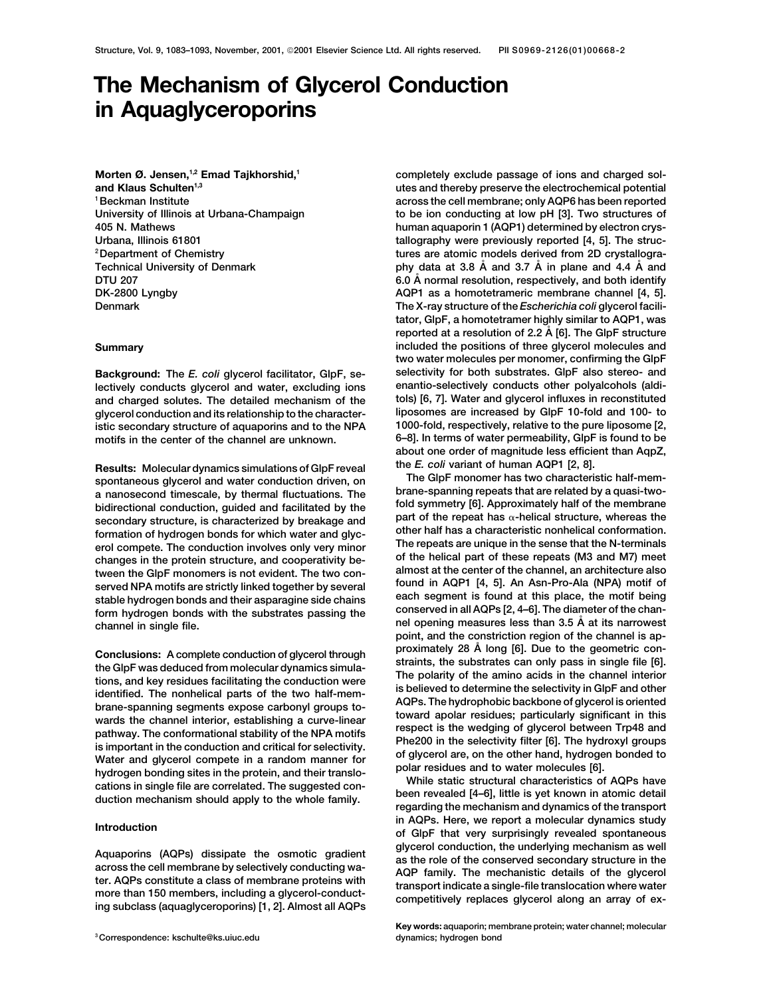# **The Mechanism of Glycerol Conduction in Aquaglyceroporins**

Morten Ø. Jensen,<sup>1,2</sup> Emad Tajkhorshid,<sup>1</sup> **and Klaus Schulten1,3 1Beckman Institute**

**lectively conducts glycerol and water, excluding ions glycerol conduction and its relationship to the character- liposomes are increased by GlpF 10-fold and 100- to**

**Results: Molecular dynamics simulations of GlpF reveal the** *E. coli* **variant of human AQP1 [2, 8].**

Conclusions: A complete conduction of glycerol through<br>the GlpF was deduced from molecular dynamics simula-<br>tions, and key residues facilitating the conduction were<br>tions, and key residues facilitating the conduction were<br>

**completely exclude passage of ions and charged solutes and thereby preserve the electrochemical potential across the cell membrane; only AQP6 has been reported University of Illinois at Urbana-Champaign to be ion conducting at low pH [3]. Two structures of 405 N. Mathews human aquaporin 1 (AQP1) determined by electron crys-**Urbana, Illinois 61801 **tallography were previously reported [4, 5]**. The struc**tures are atomic models derived from 2D crystallogra- 2Department of Chemistry Technical University of Denmark phy data at 3.8 A˚ and 3.7 A˚ in plane and 4.4 A˚ and DTU** 207 **6.0 A** normal resolution, respectively, and both identify **DK-2800 Lyngby AQP1 as a homotetrameric membrane channel [4, 5]. Denmark The X-ray structure of the** *Escherichia coli* **glycerol facilitator, GlpF, a homotetramer highly similar to AQP1, was reported at a resolution of 2.2 A˚ [6]. The GlpF structure Summary included the positions of three glycerol molecules and two water molecules per monomer, confirming the GlpF Background: The** *E. coli* **glycerol facilitator, GlpF, se- selectivity for both substrates. GlpF also stereo- and and charged solutes. The detailed mechanism of the tols) [6, 7]. Water and glycerol influxes in reconstituted 1000-fold, respectively, relative to the pure liposome [2, istic secondary structure of aquaporins and to the NPA motifs in the center of the channel are unknown. 6–8]. In terms of water permeability, GlpF is found to be about one order of magnitude less efficient than AqpZ,**

spontaneous glycerol and water conduction driven, on<br>a nanosecond timescale, by thermal fluctuations. The GlpF monomer has two characteristic half-mem-<br>bidirectional conduction, guided and facilitated by the secondary stru

**in AQPs. Here, we report a molecular dynamics study Introduction of GlpF that very surprisingly revealed spontaneous** Aquaporins (AQPs) dissipate the osmotic gradient<br>across the cell membrane by selectively conducting wa-<br>ter. AQPs constitute a class of membrane proteins with<br>more than 150 members, including a glycerol-conduct-<br>ing subcla

**Key words: aquaporin; membrane protein; water channel; molecular**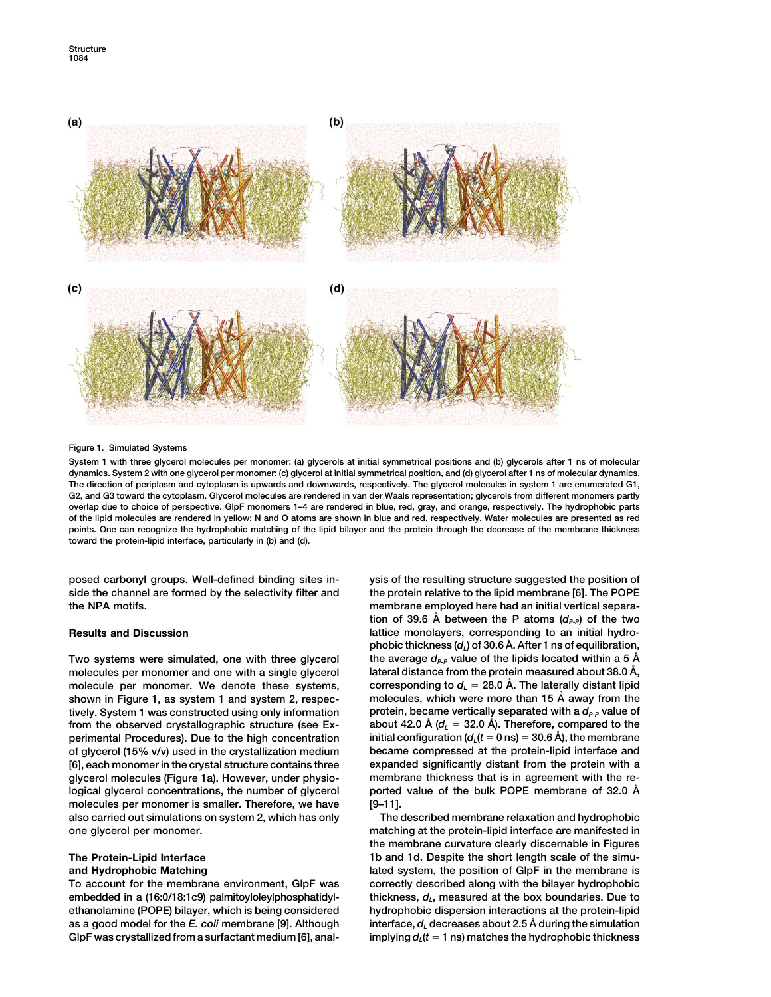

### **Figure 1. Simulated Systems**

**System 1 with three glycerol molecules per monomer: (a) glycerols at initial symmetrical positions and (b) glycerols after 1 ns of molecular dynamics. System 2 with one glycerol per monomer: (c) glycerol at initial symmetrical position, and (d) glycerol after 1 ns of molecular dynamics. The direction of periplasm and cytoplasm is upwards and downwards, respectively. The glycerol molecules in system 1 are enumerated G1, G2, and G3 toward the cytoplasm. Glycerol molecules are rendered in van der Waals representation; glycerols from different monomers partly overlap due to choice of perspective. GlpF monomers 1–4 are rendered in blue, red, gray, and orange, respectively. The hydrophobic parts of the lipid molecules are rendered in yellow; N and O atoms are shown in blue and red, respectively. Water molecules are presented as red points. One can recognize the hydrophobic matching of the lipid bilayer and the protein through the decrease of the membrane thickness toward the protein-lipid interface, particularly in (b) and (d).**

**posed carbonyl groups. Well-defined binding sites in- ysis of the resulting structure suggested the position of side the channel are formed by the selectivity filter and the protein relative to the lipid membrane [6]. The POPE**

**lateral distance from the protein measured about 38.0 A˚ molecules per monomer and one with a single glycerol ,** molecule per monomer. We denote these systems, corresponding to  $d<sub>L</sub> = 28.0$  Å. The laterally distant lipid **shown in Figure 1, as system 1 and system 2, respec- molecules, which were more than 15 A˚ away from the tively. System 1 was constructed using only information protein, became vertically separated with a** *dP-P* **value of** from the observed crystallographic structure (see Ex- **). About 42.0 Å** (d<sub>L</sub> = 32.0 Å). Therefore, compared to the perimental Procedures). Due to the high concentration initial configuration ( $d_L(t=0 \text{ ns}) = 30.6 \text{ Å}$ ), the membrane **of glycerol (15% v/v) used in the crystallization medium became compressed at the protein-lipid interface and [6], each monomer in the crystal structure contains three expanded significantly distant from the protein with a glycerol molecules (Figure 1a). However, under physio- membrane thickness that is in agreement with the relogical glycerol concentrations, the number of glycerol contract value of the bulk POPE membrane of 32.0 Å molecules per monomer is smaller. Therefore, we have [9–11]. also carried out simulations on system 2, which has only The described membrane relaxation and hydrophobic one glycerol per monomer. matching at the protein-lipid interface are manifested in**

**To account for the membrane environment, GlpF was correctly described along with the bilayer hydrophobic embedded in a (16:0/18:1c9) palmitoyloleylphosphatidyl- thickness,** *dL***, measured at the box boundaries. Due to ethanolamine (POPE) bilayer, which is being considered hydrophobic dispersion interactions at the protein-lipid as a good model for the** *E. coli* **membrane [9]. Although interface,** *dL* **decreases about 2.5 A˚ during the simulation** GlpF was crystallized from a surfactant medium [6], anal-

**the NPA motifs. membrane employed here had an initial vertical separa**tion of 39.6 Å between the P atoms  $(d_{P-P})$  of the two **Results and Discussion lattice monolayers, corresponding to an initial hydrophobic thickness (***dL***) of 30.6 A˚ . After 1 ns of equilibration,** Two systems were simulated, one with three glycerol the average  $d_{P-P}$  value of the lipids located within a 5  $\AA$ 

**the membrane curvature clearly discernable in Figures The Protein-Lipid Interface 1b and 1d. Despite the short length scale of the simuand Hydrophobic Matching lated system, the position of GlpF in the membrane is** implying  $d_i$  ( $t = 1$  ns) matches the hydrophobic thickness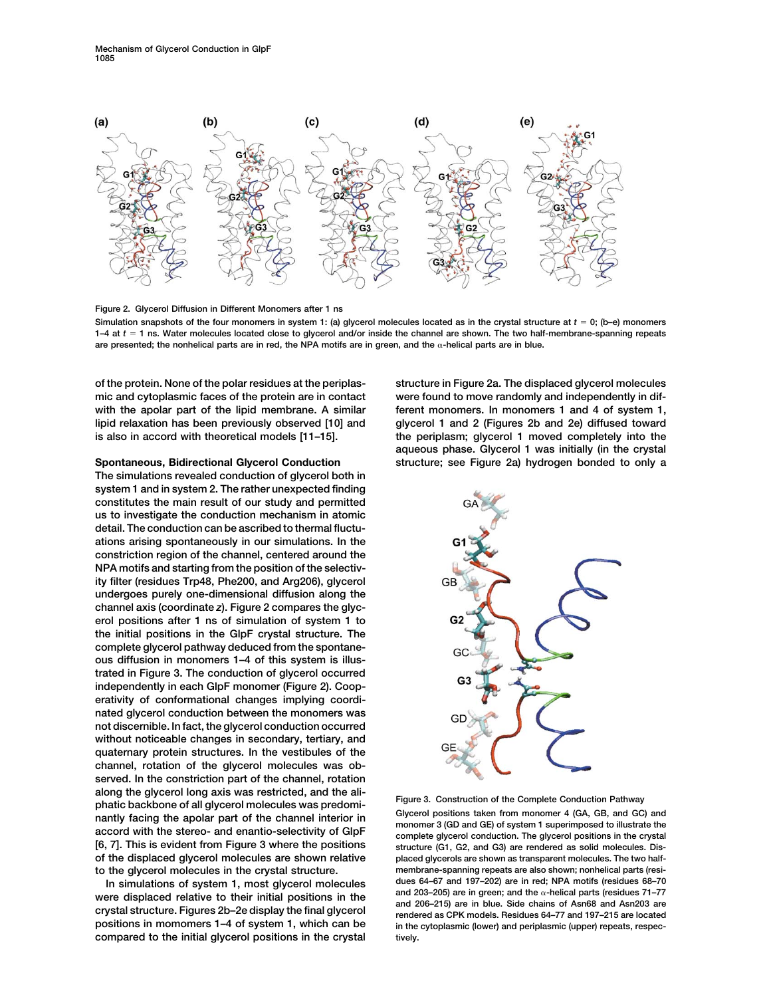

**Figure 2. Glycerol Diffusion in Different Monomers after 1 ns**

**Simulation snapshots of the four monomers in system 1: (a) glycerol molecules located as in the crystal structure at** *t* - **0; (b–e) monomers 1–4 at** *t* - **1 ns. Water molecules located close to glycerol and/or inside the channel are shown. The two half-membrane-spanning repeats are presented; the nonhelical parts are in red, the NPA motifs are in green, and the -helical parts are in blue.**

**of the protein. None of the polar residues at the periplas- structure in Figure 2a. The displaced glycerol molecules mic and cytoplasmic faces of the protein are in contact were found to move randomly and independently in dif**with the apolar part of the lipid membrane. A similar ferent monomers. In monomers 1 and 4 of system 1, **lipid relaxation has been previously observed [10] and glycerol 1 and 2 (Figures 2b and 2e) diffused toward is also in accord with theoretical models [11–15]. the periplasm; glycerol 1 moved completely into the**

**The simulations revealed conduction of glycerol both in system 1 and in system 2. The rather unexpected finding constitutes the main result of our study and permitted us to investigate the conduction mechanism in atomic detail. The conduction can be ascribed to thermal fluctuations arising spontaneously in our simulations. In the constriction region of the channel, centered around the NPA motifs and starting from the position of the selectivity filter (residues Trp48, Phe200, and Arg206), glycerol undergoes purely one-dimensional diffusion along the channel axis (coordinate** *z***). Figure 2 compares the glycerol positions after 1 ns of simulation of system 1 to the initial positions in the GlpF crystal structure. The complete glycerol pathway deduced from the spontaneous diffusion in monomers 1–4 of this system is illustrated in Figure 3. The conduction of glycerol occurred independently in each GlpF monomer (Figure 2). Cooperativity of conformational changes implying coordinated glycerol conduction between the monomers was not discernible. In fact, the glycerol conduction occurred without noticeable changes in secondary, tertiary, and quaternary protein structures. In the vestibules of the channel, rotation of the glycerol molecules was observed. In the constriction part of the channel, rotation** along the glycerol long axis was restricted, and the ali-<br>phatic backbone of all glycerol molecules was predomi-<br>nantly facing the apolar part of the channel interior in<br>accord with the stereo- and enantio-selectivity of G **of the displaced glycerol molecules are shown relative placed glycerols are shown as transparent molecules. The two half-**

**compared to the initial glycerol positions in the crystal tively.**

**aqueous phase. Glycerol 1 was initially (in the crystal Spontaneous, Bidirectional Glycerol Conduction structure; see Figure 2a) hydrogen bonded to only a**



**[6, 7]. This is evident from Figure 3 where the positions structure (G1, G2, and G3) are rendered as solid molecules. Dismembrane-spanning repeats are also shown; nonhelical parts (resi- to the glycerol molecules in the crystal structure.** In simulations of system 1, most glycerol molecules<br>were displaced relative to their initial positions in the<br>crystal structure. Figures 2b-2e display the final glycerol<br>positions in the crystal structure. Figures 2b-2e d in the cytoplasmic (lower) and periplasmic (upper) repeats, respec-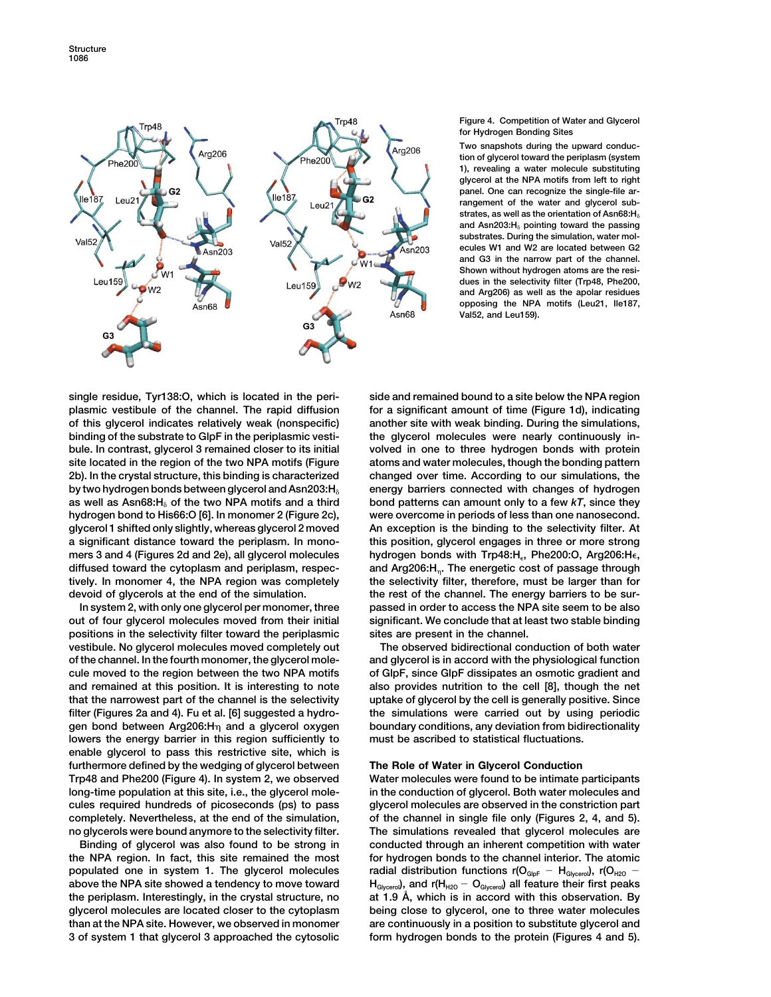

### **Figure 4. Competition of Water and Glycerol for Hydrogen Bonding Sites**

**Two snapshots during the upward conduction of glycerol toward the periplasm (system 1), revealing a water molecule substituting glycerol at the NPA motifs from left to right panel. One can recognize the single-file arrangement of the water and glycerol substrates, as well as the orientation of Asn68:H and Asn203:H pointing toward the passing substrates. During the simulation, water molecules W1 and W2 are located between G2 and G3 in the narrow part of the channel. Shown without hydrogen atoms are the residues in the selectivity filter (Trp48, Phe200, and Arg206) as well as the apolar residues opposing the NPA motifs (Leu21, Ile187, Val52, and Leu159).**

**single residue, Tyr138:O, which is located in the peri- side and remained bound to a site below the NPA region plasmic vestibule of the channel. The rapid diffusion for a significant amount of time (Figure 1d), indicating of this glycerol indicates relatively weak (nonspecific) another site with weak binding. During the simulations, binding of the substrate to GlpF in the periplasmic vesti- the glycerol molecules were nearly continuously inbule. In contrast, glycerol 3 remained closer to its initial volved in one to three hydrogen bonds with protein site located in the region of the two NPA motifs (Figure atoms and water molecules, though the bonding pattern 2b). In the crystal structure, this binding is characterized changed over time. According to our simulations, the** by two hydrogen bonds between glycerol and Asn203:H<sub>8</sub> energy barriers connected with changes of hydrogen **as well as Asn68:H of the two NPA motifs and a third bond patterns can amount only to a few** *kT***, since they hydrogen bond to His66:O [6]. In monomer 2 (Figure 2c), were overcome in periods of less than one nanosecond.** glycerol 1 shifted only slightly, whereas glycerol 2 moved An exception is the binding to the selectivity filter. At **a significant distance toward the periplasm. In mono- this position, glycerol engages in three or more strong mers 3 and 4 (Figures 2d and 2e), all glycerol molecules hydrogen bonds with Trp48:H, Phe200:O, Arg206:H, diffused toward the cytoplasm and periplasm, respec- and Arg206:H. The energetic cost of passage through tively. In monomer 4, the NPA region was completely the selectivity filter, therefore, must be larger than for devoid of glycerols at the end of the simulation. the rest of the channel. The energy barriers to be sur-**

**out of four glycerol molecules moved from their initial significant. We conclude that at least two stable binding positions in the selectivity filter toward the periplasmic sites are present in the channel. vestibule. No glycerol molecules moved completely out The observed bidirectional conduction of both water of the channel. In the fourth monomer, the glycerol mole- and glycerol is in accord with the physiological function cule moved to the region between the two NPA motifs of GlpF, since GlpF dissipates an osmotic gradient and and remained at this position. It is interesting to note also provides nutrition to the cell [8], though the net that the narrowest part of the channel is the selectivity uptake of glycerol by the cell is generally positive. Since filter (Figures 2a and 4). Fu et al. [6] suggested a hydro- the simulations were carried out by using periodic gen bond between Arg206:H and a glycerol oxygen boundary conditions, any deviation from bidirectionality lowers the energy barrier in this region sufficiently to must be ascribed to statistical fluctuations. enable glycerol to pass this restrictive site, which is furthermore defined by the wedging of glycerol between The Role of Water in Glycerol Conduction Trp48 and Phe200 (Figure 4). In system 2, we observed Water molecules were found to be intimate participants long-time population at this site, i.e., the glycerol mole- in the conduction of glycerol. Both water molecules and cules required hundreds of picoseconds (ps) to pass glycerol molecules are observed in the constriction part completely. Nevertheless, at the end of the simulation, of the channel in single file only (Figures 2, 4, and 5). no glycerols were bound anymore to the selectivity filter. The simulations revealed that glycerol molecules are**

**the NPA region. In fact, this site remained the most for hydrogen bonds to the channel interior. The atomic populated one in system 1. The glycerol molecules** radial distribution functions r(O<sub>GlpF</sub> - H<sub>Glycerol</sub>), r(O<sub>H2O</sub> above the NPA site showed a tendency to move toward  $H_{\text{diszero}}$ , and r(H<sub>H2O</sub> - O<sub>Glycero</sub>) all feature their first peaks **the periplasm. Interestingly, in the crystal structure, no at 1.9 A˚ , which is in accord with this observation. By glycerol molecules are located closer to the cytoplasm being close to glycerol, one to three water molecules than at the NPA site. However, we observed in monomer are continuously in a position to substitute glycerol and 3 of system 1 that glycerol 3 approached the cytosolic form hydrogen bonds to the protein (Figures 4 and 5).**

**In system 2, with only one glycerol per monomer, three passed in order to access the NPA site seem to be also**

**Binding of glycerol was also found to be strong in conducted through an inherent competition with water**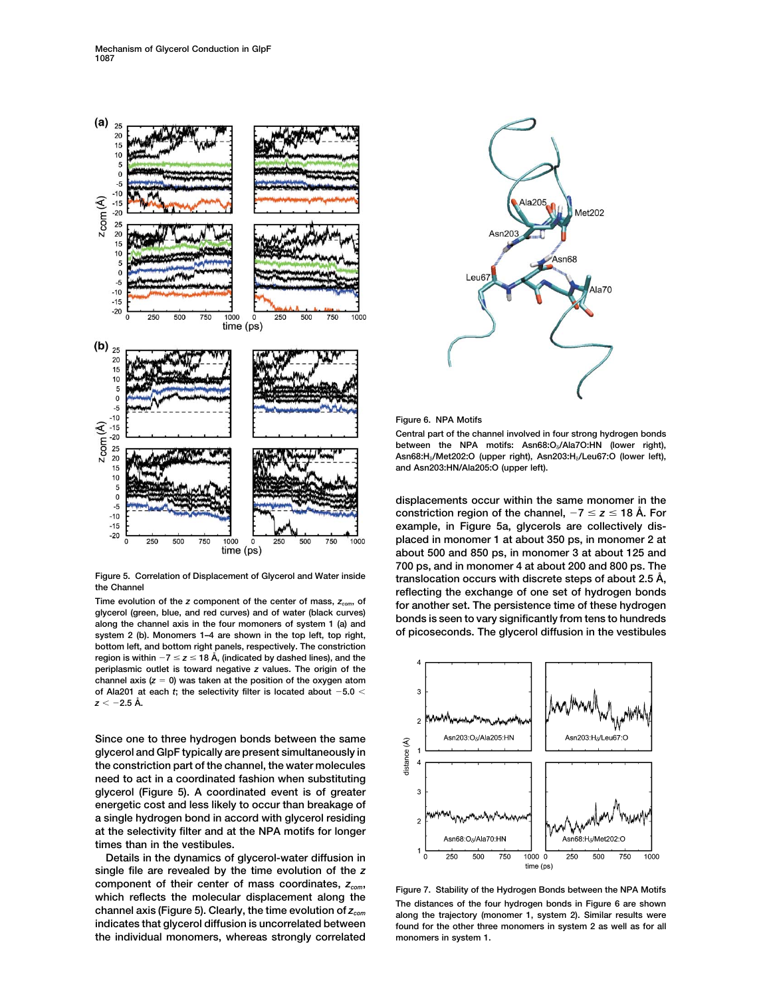

**system 2 (b). Monomers 1–4 are shown in the top left, top right, of picoseconds. The glycerol diffusion in the vestibules bottom left, and bottom right panels, respectively. The constriction region is within**  $-7 \le z \le 18$  Å, (indicated by dashed lines), and the **periplasmic outlet is toward negative** *z* **values. The origin of the channel axis (***z* - **0) was taken at the position of the oxygen atom of Ala201 at each** *t***; the selectivity filter is located about 5.0**  $z < -2.5$  Å.

**Since one to three hydrogen bonds between the same glycerol and GlpF typically are present simultaneously in the constriction part of the channel, the water molecules need to act in a coordinated fashion when substituting glycerol (Figure 5). A coordinated event is of greater energetic cost and less likely to occur than breakage of a single hydrogen bond in accord with glycerol residing at the selectivity filter and at the NPA motifs for longer times than in the vestibules.**

**Details in the dynamics of glycerol-water diffusion in single file are revealed by the time evolution of the** *z* component of their center of mass coordinates,  $z_{com}$ ,<br>which reflects the molecular displacement along the<br>channel axis (Figure 5). Clearly, the time evolution of  $z_{com}$ <br>indicates that diverse diffusion is uncorrelated be **the individual monomers, whereas strongly correlated monomers in system 1.**



**Figure 6. NPA Motifs**

**Central part of the channel involved in four strong hydrogen bonds between the NPA motifs: Asn68:O/Ala7O:HN (lower right), Asn68:H/Met202:O (upper right), Asn203:H/Leu67:O (lower left), and Asn203:HN/Ala205:O (upper left).**

**displacements occur within the same monomer in the** constriction region of the channel,  $-7 \le z \le 18$  Å. For **example, in Figure 5a, glycerols are collectively displaced in monomer 1 at about 350 ps, in monomer 2 at about 500 and 850 ps, in monomer 3 at about 125 and 700 ps, and in monomer 4 at about 200 and 800 ps. The** Figure 5. Correlation of Displacement of Glycerol and Water inside<br>the Channel<br>Time evolution of the z component of the center of mass,  $z_{com}$ , of<br>glycerol (green, blue, and red curves) and of water (black curves)<br>along th



found for the other three monomers in system 2 as well as for all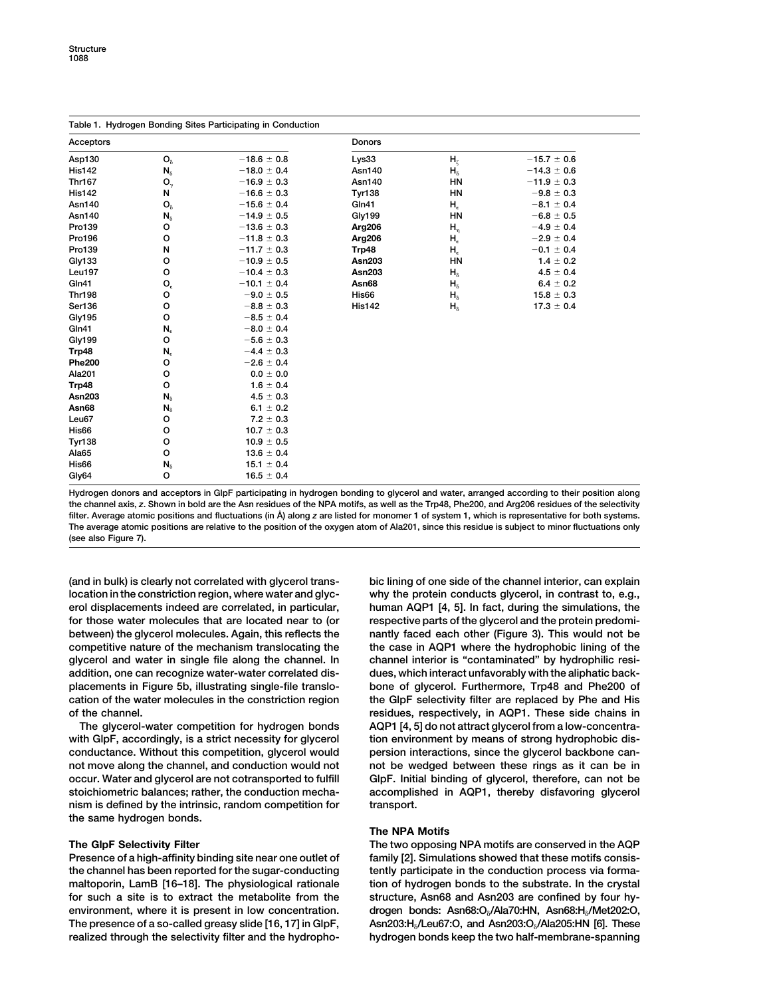| Table 1. Hydrogen Bonding Sites Participating in Conduction |                |                 |               |                |                 |  |
|-------------------------------------------------------------|----------------|-----------------|---------------|----------------|-----------------|--|
| Acceptors                                                   |                |                 | Donors        |                |                 |  |
| Asp130                                                      | $O_{\delta}$   | $-18.6 \pm 0.8$ | Lys33         | H <sub>z</sub> | $-15.7 \pm 0.6$ |  |
| <b>His142</b>                                               | $N_{\delta}$   | $-18.0 \pm 0.4$ | <b>Asn140</b> | $H_{\delta}$   | $-14.3 \pm 0.6$ |  |
| <b>Thr167</b>                                               | $O_{\gamma}$   | $-16.9 \pm 0.3$ | <b>Asn140</b> | <b>HN</b>      | $-11.9 \pm 0.3$ |  |
| <b>His142</b>                                               | N              | $-16.6 \pm 0.3$ | <b>Tyr138</b> | HN             | $-9.8 \pm 0.3$  |  |
| Asn140                                                      | $O_{\delta}$   | $-15.6 \pm 0.4$ | Gln41         | $H_{\epsilon}$ | $-8.1 \pm 0.4$  |  |
| Asn140                                                      | $N_{\delta}$   | $-14.9 \pm 0.5$ | <b>Gly199</b> | <b>HN</b>      | $-6.8 \pm 0.5$  |  |
| Pro139                                                      | o              | $-13.6 \pm 0.3$ | Arg206        | $H_n$          | $-4.9 \pm 0.4$  |  |
| Pro196                                                      | o              | $-11.8 \pm 0.3$ | Arg206        | $H_{\epsilon}$ | $-2.9 \pm 0.4$  |  |
| Pro139                                                      | N              | $-11.7 \pm 0.3$ | Trp48         | $H_{\epsilon}$ | $-0.1 \pm 0.4$  |  |
| Gly133                                                      | o              | $-10.9 \pm 0.5$ | <b>Asn203</b> | <b>HN</b>      | $1.4 \pm 0.2$   |  |
| Leu197                                                      | o              | $-10.4 \pm 0.3$ | <b>Asn203</b> | $H_{\delta}$   | $4.5 \pm 0.4$   |  |
| Gln41                                                       | $O_{\epsilon}$ | $-10.1 \pm 0.4$ | Asn68         | $H_{\delta}$   | $6.4 \pm 0.2$   |  |
| <b>Thr198</b>                                               | o              | $-9.0 \pm 0.5$  | His66         | $H_{\delta}$   | $15.8 \pm 0.3$  |  |
| Ser136                                                      | o              | $-8.8 \pm 0.3$  | <b>His142</b> | $H_{\delta}$   | $17.3 \pm 0.4$  |  |
| <b>Gly195</b>                                               | o              | $-8.5 \pm 0.4$  |               |                |                 |  |
| Gln41                                                       | $N_{\epsilon}$ | $-8.0 \pm 0.4$  |               |                |                 |  |
| <b>Gly199</b>                                               | o              | $-5.6 \pm 0.3$  |               |                |                 |  |
| Trp48                                                       | $N_{\epsilon}$ | $-4.4 \pm 0.3$  |               |                |                 |  |
| <b>Phe200</b>                                               | o              | $-2.6 \pm 0.4$  |               |                |                 |  |
| Ala201                                                      | o              | $0.0 \pm 0.0$   |               |                |                 |  |
| Trp48                                                       | $\circ$        | $1.6 \pm 0.4$   |               |                |                 |  |
| <b>Asn203</b>                                               | $N_{\delta}$   | $4.5 \pm 0.3$   |               |                |                 |  |
| Asn68                                                       | $N_{\delta}$   | $6.1 \pm 0.2$   |               |                |                 |  |
| Leu67                                                       | o              | $7.2 \pm 0.3$   |               |                |                 |  |
| His66                                                       | o              | $10.7 \pm 0.3$  |               |                |                 |  |
| <b>Tyr138</b>                                               | o              | $10.9 \pm 0.5$  |               |                |                 |  |
| Ala65                                                       | $\circ$        | $13.6 \pm 0.4$  |               |                |                 |  |
| His66                                                       | $N_{\delta}$   | $15.1 \pm 0.4$  |               |                |                 |  |
| Gly64                                                       | o              | $16.5 \pm 0.4$  |               |                |                 |  |

**Hydrogen donors and acceptors in GlpF participating in hydrogen bonding to glycerol and water, arranged according to their position along the channel axis,** *z***. Shown in bold are the Asn residues of the NPA motifs, as well as the Trp48, Phe200, and Arg206 residues of the selectivity filter. Average atomic positions and fluctuations (in A˚ ) along** *z* **are listed for monomer 1 of system 1, which is representative for both systems. The average atomic positions are relative to the position of the oxygen atom of Ala201, since this residue is subject to minor fluctuations only (see also Figure 7).**

**(and in bulk) is clearly not correlated with glycerol trans- bic lining of one side of the channel interior, can explain location in the constriction region, where water and glyc- why the protein conducts glycerol, in contrast to, e.g., erol displacements indeed are correlated, in particular, human AQP1 [4, 5]. In fact, during the simulations, the for those water molecules that are located near to (or respective parts of the glycerol and the protein predomibetween) the glycerol molecules. Again, this reflects the nantly faced each other (Figure 3). This would not be competitive nature of the mechanism translocating the the case in AQP1 where the hydrophobic lining of the glycerol and water in single file along the channel. In channel interior is "contaminated" by hydrophilic resiaddition, one can recognize water-water correlated dis- dues, which interact unfavorably with the aliphatic backplacements in Figure 5b, illustrating single-file translo- bone of glycerol. Furthermore, Trp48 and Phe200 of cation of the water molecules in the constriction region the GlpF selectivity filter are replaced by Phe and His of the channel. residues, respectively, in AQP1. These side chains in**

with GlpF, accordingly, is a strict necessity for glycerol tion environment by means of strong hydrophobic dis**conductance. Without this competition, glycerol would persion interactions, since the glycerol backbone cannot move along the channel, and conduction would not not be wedged between these rings as it can be in occur. Water and glycerol are not cotransported to fulfill GlpF. Initial binding of glycerol, therefore, can not be stoichiometric balances; rather, the conduction mecha- accomplished in AQP1, thereby disfavoring glycerol nism is defined by the intrinsic, random competition for transport. the same hydrogen bonds.**

**the channel has been reported for the sugar-conducting tently participate in the conduction process via formamaltoporin, LamB [16–18]. The physiological rationale tion of hydrogen bonds to the substrate. In the crystal for such a site is to extract the metabolite from the structure, Asn68 and Asn203 are confined by four hyenvironment, where it is present in low concentration. drogen bonds: Asn68:O/Ala70:HN, Asn68:H/Met202:O, Asn203:H/Leu67:O, and Asn203:O The presence of a so-called greasy slide [16, 17] in GlpF, /Ala205:HN [6]. These realized through the selectivity filter and the hydropho- hydrogen bonds keep the two half-membrane-spanning**

**The glycerol-water competition for hydrogen bonds AQP1 [4, 5] do not attract glycerol from a low-concentra-**

## **The NPA Motifs**

**The GlpF Selectivity Filter The two opposing NPA motifs are conserved in the AQP** Presence of a high-affinity binding site near one outlet of family [2]. Simulations showed that these motifs consis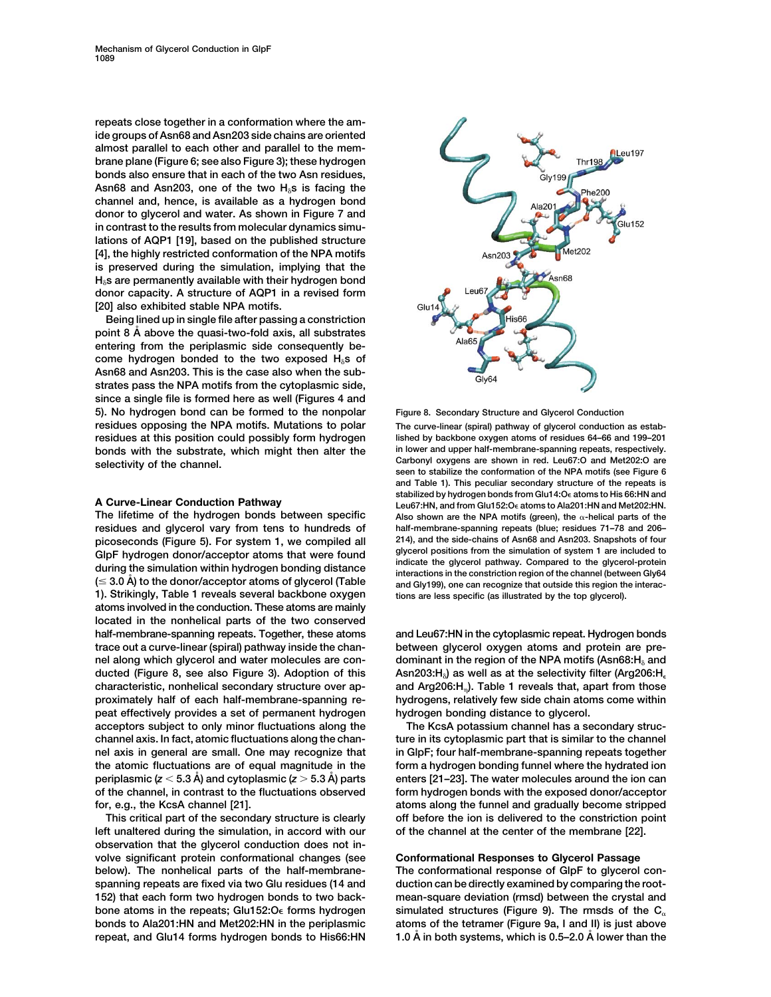**repeats close together in a conformation where the amide groups of Asn68 and Asn203 side chains are oriented almost parallel to each other and parallel to the membrane plane (Figure 6; see also Figure 3); these hydrogen bonds also ensure that in each of the two Asn residues,** Asn68 and Asn203, one of the two H<sub>0</sub>s is facing the **channel and, hence, is available as a hydrogen bond donor to glycerol and water. As shown in Figure 7 and in contrast to the results from molecular dynamics simulations of AQP1 [19], based on the published structure [4], the highly restricted conformation of the NPA motifs is preserved during the simulation, implying that the Hs are permanently available with their hydrogen bond donor capacity. A structure of AQP1 in a revised form [20] also exhibited stable NPA motifs.**

**Being lined up in single file after passing a constriction point 8 A˚ above the quasi-two-fold axis, all substrates entering from the periplasmic side consequently be**come hydrogen bonded to the two exposed H<sub>8</sub>S of **Asn68 and Asn203. This is the case also when the substrates pass the NPA motifs from the cytoplasmic side, since a single file is formed here as well (Figures 4 and 5). No hydrogen bond can be formed to the nonpolar Figure 8. Secondary Structure and Glycerol Conduction residues opposing the NPA motifs. Mutations to polar The curve-linear (spiral) pathway of glycerol conduction as estabresidues at this position could possibly form hydrogen lished by backbone oxygen atoms of residues 64–66 and 199–201 bonds with the substrate, which might then alter the in lower and upper half-membrane-spanning repeats, respectively.**

**residues and glycerol vary from tens to hundreds of half-membrane-spanning repeats (blue; residues 71–78 and 206– picoseconds (Figure 5). For system 1, we compiled all 214), and the side-chains of Asn68 and Asn203. Snapshots of four** GlpF hydrogen donor/acceptor atoms that were found<br>during the simulation within hydrogen bonding distance<br> $(\leq 3.0 \text{ Å})$  to the donor/acceptor atoms of glycerol (Table<br> $(\leq 3.0 \text{ Å})$  to the donor/acceptor atoms of glycero **1). Strikingly, Table 1 reveals several backbone oxygen tions are less specific (as illustrated by the top glycerol). atoms involved in the conduction. These atoms are mainly located in the nonhelical parts of the two conserved half-membrane-spanning repeats. Together, these atoms and Leu67:HN in the cytoplasmic repeat. Hydrogen bonds trace out a curve-linear (spiral) pathway inside the chan- between glycerol oxygen atoms and protein are prenel along which glycerol and water molecules are con- dominant in the region of the NPA motifs (Asn68:H and Asn203:H ducted (Figure 8, see also Figure 3). Adoption of this ) as well as at the selectivity filter (Arg206:H characteristic, nonhelical secondary structure over ap- and Arg206:H). Table 1 reveals that, apart from those proximately half of each half-membrane-spanning re- hydrogens, relatively few side chain atoms come within peat effectively provides a set of permanent hydrogen hydrogen bonding distance to glycerol. acceptors subject to only minor fluctuations along the The KcsA potassium channel has a secondary strucchannel axis. In fact, atomic fluctuations along the chan- ture in its cytoplasmic part that is similar to the channel nel axis in general are small. One may recognize that in GlpF; four half-membrane-spanning repeats together the atomic fluctuations are of equal magnitude in the form a hydrogen bonding funnel where the hydrated ion periplasmic (***z* **5.3 A˚ ) and cytoplasmic (***z* **5.3 A˚ ) parts enters [21–23]. The water molecules around the ion can of the channel, in contrast to the fluctuations observed form hydrogen bonds with the exposed donor/acceptor for, e.g., the KcsA channel [21]. atoms along the funnel and gradually become stripped**

**left unaltered during the simulation, in accord with our of the channel at the center of the membrane [22]. observation that the glycerol conduction does not involve significant protein conformational changes (see Conformational Responses to Glycerol Passage**



Selectivity of the channel.<br>
seen to stabilize the conformation of the NPA motifs (see Figure 6<br>
seen to stabilize the conformation of the NPA motifs (see Figure 6 **and Table 1). This peculiar secondary structure of the repeats is** stabilized by hydrogen bonds from Glu14:O<sub>e</sub> atoms to His 66:HN and **A Curve-Linear Conduction Pathway Leu67:HN, and from Glu152:O atoms to Ala201:HN and Met202:HN.** Also shown are the NPA motifs (green), the  $\alpha$ -helical parts of the

**This critical part of the secondary structure is clearly off before the ion is delivered to the constriction point**

**below). The nonhelical parts of the half-membrane- The conformational response of GlpF to glycerol con**spanning repeats are fixed via two Glu residues (14 and duction can be directly examined by comparing the root-**152) that each form two hydrogen bonds to two back- mean-square deviation (rmsd) between the crystal and** bone atoms in the repeats; Glu152: $O\epsilon$  forms hydrogen simulated structures (Figure 9). The rmsds of the  $C_{\alpha}$ **bonds to Ala201:HN and Met202:HN in the periplasmic atoms of the tetramer (Figure 9a, I and II) is just above repeat, and Glu14 forms hydrogen bonds to His66:HN 1.0 A˚ in both systems, which is 0.5–2.0 A˚ lower than the**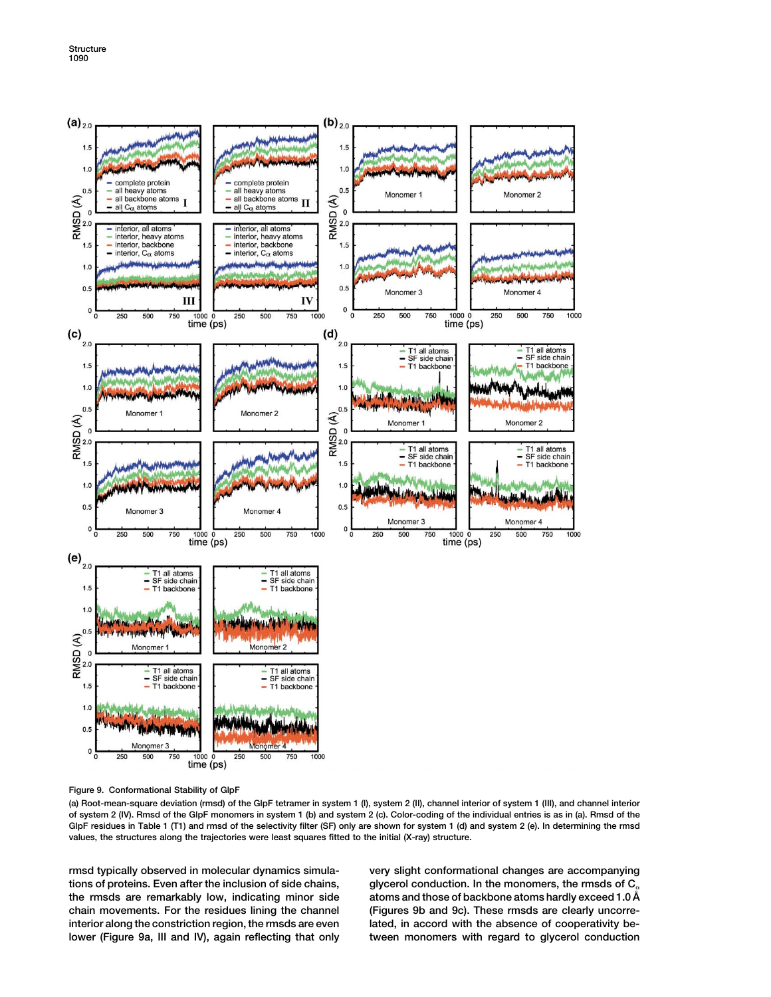

**Figure 9. Conformational Stability of GlpF**

**(a) Root-mean-square deviation (rmsd) of the GlpF tetramer in system 1 (I), system 2 (II), channel interior of system 1 (III), and channel interior of system 2 (IV). Rmsd of the GlpF monomers in system 1 (b) and system 2 (c). Color-coding of the individual entries is as in (a). Rmsd of the GlpF residues in Table 1 (T1) and rmsd of the selectivity filter (SF) only are shown for system 1 (d) and system 2 (e). In determining the rmsd values, the structures along the trajectories were least squares fitted to the initial (X-ray) structure.**

**rmsd typically observed in molecular dynamics simula- very slight conformational changes are accompanying tions of proteins. Even after the inclusion of side chains, glycerol conduction. In the monomers, the rmsds of C chain movements. For the residues lining the channel (Figures 9b and 9c). These rmsds are clearly uncorreinterior along the constriction region, the rmsds are even lated, in accord with the absence of cooperativity belower (Figure 9a, III and IV), again reflecting that only tween monomers with regard to glycerol conduction**

atoms and those of backbone atoms hardly exceed 1.0  $\AA$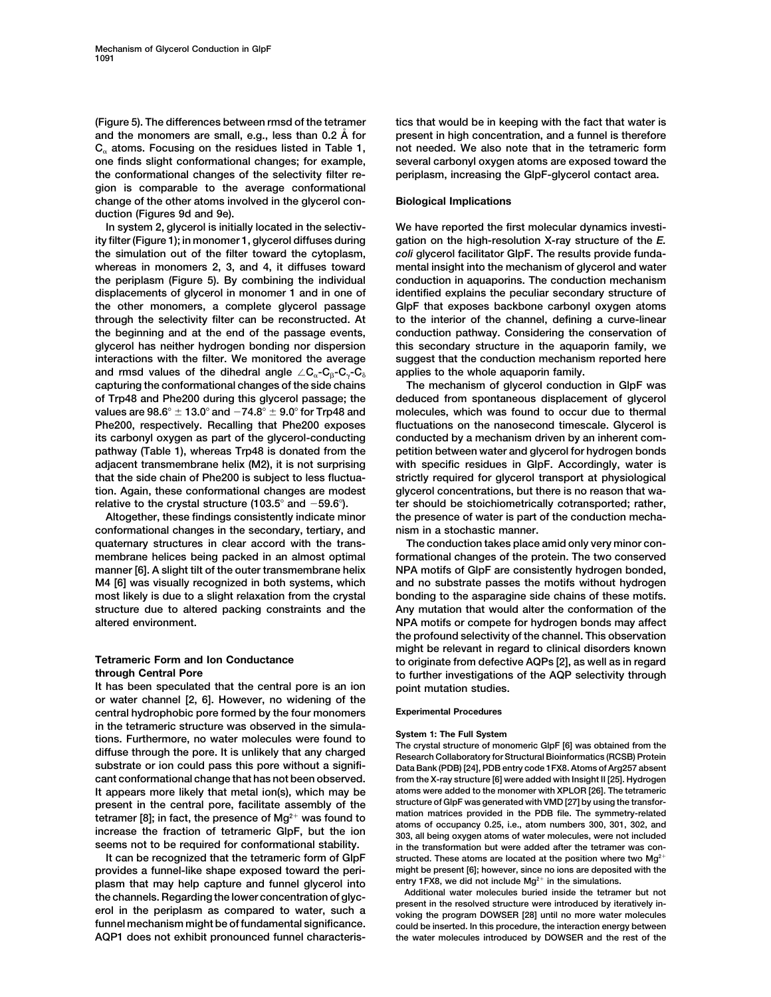**(Figure 5). The differences between rmsd of the tetramer tics that would be in keeping with the fact that water is and the monomers are small, e.g., less than 0.2 A˚ for present in high concentration, and a funnel is therefore**  $C<sub>a</sub>$  atoms. Focusing on the residues listed in Table 1, not needed. We also note that in the tetrameric form **one finds slight conformational changes; for example, several carbonyl oxygen atoms are exposed toward the the conformational changes of the selectivity filter re- periplasm, increasing the GlpF-glycerol contact area. gion is comparable to the average conformational change of the other atoms involved in the glycerol con- Biological Implications duction (Figures 9d and 9e).**

**ity filter (Figure 1); in monomer 1, glycerol diffuses during gation on the high-resolution X-ray structure of the** *E.* **the simulation out of the filter toward the cytoplasm,** *coli* **glycerol facilitator GlpF. The results provide fundawhereas in monomers 2, 3, and 4, it diffuses toward mental insight into the mechanism of glycerol and water the periplasm (Figure 5). By combining the individual conduction in aquaporins. The conduction mechanism displacements of glycerol in monomer 1 and in one of identified explains the peculiar secondary structure of the other monomers, a complete glycerol passage GlpF that exposes backbone carbonyl oxygen atoms through the selectivity filter can be reconstructed. At to the interior of the channel, defining a curve-linear the beginning and at the end of the passage events, conduction pathway. Considering the conservation of glycerol has neither hydrogen bonding nor dispersion this secondary structure in the aquaporin family, we interactions with the filter. We monitored the average suggest that the conduction mechanism reported here** and rmsd values of the dihedral angle  $\angle C_{\alpha}$ -C<sub>R</sub>-C<sub>R</sub>-C<sub>R</sub> applies to the whole aquaporin family. **capturing the conformational changes of the side chains The mechanism of glycerol conduction in GlpF was of Trp48 and Phe200 during this glycerol passage; the deduced from spontaneous displacement of glycerol values are**  $98.6^{\circ} \pm 13.0^{\circ}$  **and**  $-74.8^{\circ} \pm 9.0^{\circ}$  **for Trp48 and molecules, which was found to occur due to thermal Phe200, respectively. Recalling that Phe200 exposes fluctuations on the nanosecond timescale. Glycerol is** its carbonyl oxygen as part of the glycerol-conducting conducted by a mechanism driven by an inherent com**pathway (Table 1), whereas Trp48 is donated from the petition between water and glycerol for hydrogen bonds adjacent transmembrane helix (M2), it is not surprising with specific residues in GlpF. Accordingly, water is that the side chain of Phe200 is subject to less fluctua- strictly required for glycerol transport at physiological tion. Again, these conformational changes are modest glycerol concentrations, but there is no reason that warelative to the crystal structure (103.5 and 59.6). ter should be stoichiometrically cotransported; rather,**

**conformational changes in the secondary, tertiary, and nism in a stochastic manner. quaternary structures in clear accord with the trans- The conduction takes place amid only very minor conmembrane helices being packed in an almost optimal formational changes of the protein. The two conserved manner [6]. A slight tilt of the outer transmembrane helix NPA motifs of GlpF are consistently hydrogen bonded, M4 [6] was visually recognized in both systems, which and no substrate passes the motifs without hydrogen most likely is due to a slight relaxation from the crystal bonding to the asparagine side chains of these motifs. structure due to altered packing constraints and the Any mutation that would alter the conformation of the altered environment. NPA motifs or compete for hydrogen bonds may affect**

**It has been speculated that the central pore is an ion point mutation studies. or water channel [2, 6]. However, no widening of the central hydrophobic pore formed by the four monomers Experimental Procedures in the tetrameric structure was observed in the simula**tions. Furthermore, no water molecules were found to<br>diffuse through the pore. It is unlikely that any charged<br>diffuse through the pore. It is unlikely that any charged<br>Research Collaboratory for Structural Bioinformatics **substrate or ion could pass this pore without a signifi- Data Bank (PDB) [24], PDB entry code 1FX8. Atoms of Arg257 absent cant conformational change that has not been observed. from the X-ray structure [6] were added with Insight II [25]. Hydrogen It appears more likely that metal ion(s), which may be atoms were added to the monomer with XPLOR [26]. The tetrameric** present in the central pore, facilitate assembly of the<br>tetramer [8]; in fact, the presence of Mg<sup>2+</sup> was found to<br>increase the fraction of tetrameric GlpF, but the ion<br> $303$ , all being oxygen atoms of water molecules, we

**provides a funnel-like shape exposed toward the peri- might be present [6]; however, since no ions are deposited with the** plasm that may help capture and funnel glycerol into<br>the channels. Regarding the lower concentration of glyc-<br>erol in the periplasm as compared to water, such a<br>funnel mechanism might be of fundamental significance.<br>the i **funnel mechanism might be of fundamental significance. could be inserted. In this procedure, the interaction energy between**

**In system 2, glycerol is initially located in the selectiv- We have reported the first molecular dynamics investi-**

**Altogether, these findings consistently indicate minor the presence of water is part of the conduction mecha-**

**the profound selectivity of the channel. This observation might be relevant in regard to clinical disorders known Tetrameric Form and Ion Conductance to originate from defective AQPs [2], as well as in regard through Central Pore to further investigations of the AQP selectivity through**

**seems not to be required for conformational stability. in the transformation but were added after the tetramer was con-**It can be recognized that the tetrameric form of GlpF structed. These atoms are located at the position where two Mg<sup>2</sup><sup>1</sup>

the water molecules introduced by DOWSER and the rest of the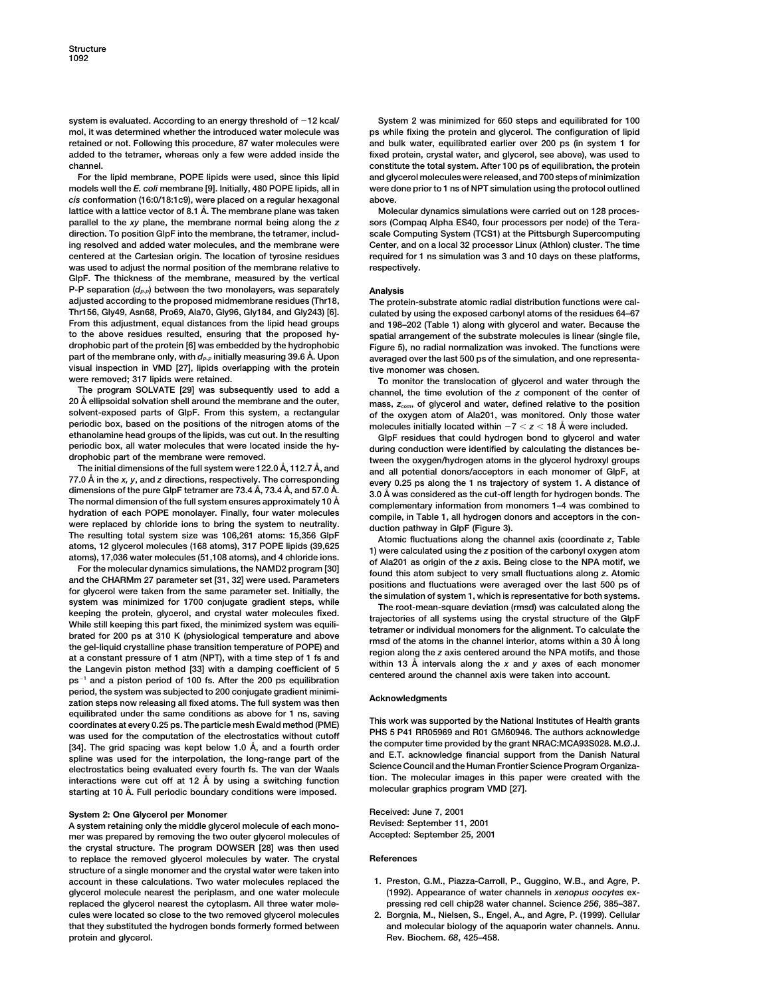**system is evaluated. According to an energy threshold of 12 kcal/ System 2 was minimized for 650 steps and equilibrated for 100 mol, it was determined whether the introduced water molecule was ps while fixing the protein and glycerol. The configuration of lipid added to the tetramer, whereas only a few were added inside the fixed protein, crystal water, and glycerol, see above), was used to**

**models well the** *E. coli* **membrane [9]. Initially, 480 POPE lipids, all in were done prior to 1 ns of NPT simulation using the protocol outlined** *cis* **conformation (16:0/18:1c9), were placed on a regular hexagonal above.** lattice with a lattice vector of 8.1 Å. The membrane plane was taken Molecular dynamics simulations were carried out on 128 proces**parallel to the** *xy* **plane, the membrane normal being along the** *z* **sors (Compaq Alpha ES40, four processors per node) of the Teradirection. To position GlpF into the membrane, the tetramer, includ- scale Computing System (TCS1) at the Pittsburgh Supercomputing ing resolved and added water molecules, and the membrane were Center, and on a local 32 processor Linux (Athlon) cluster. The time centered at the Cartesian origin. The location of tyrosine residues required for 1 ns simulation was 3 and 10 days on these platforms, was used to adjust the normal position of the membrane relative to respectively. GlpF. The thickness of the membrane, measured by the vertical P-P** separation ( $d_{P-P}$ ) between the two monolayers, was separately **Analysis adjusted according to the proposed midmembrane residues (Thr18, The protein-substrate atomic radial distribution functions were cal-Thr156, Gly49, Asn68, Pro69, Ala70, Gly96, Gly184, and Gly243) [6]. culated by using the exposed carbonyl atoms of the residues 64–67 From this adjustment, equal distances from the lipid head groups and 198–202 (Table 1) along with glycerol and water. Because the to the above residues resulted, ensuring that the proposed hy- spatial arrangement of the substrate molecules is linear (single file, drophobic part of the protein [6] was embedded by the hydrophobic Figure 5), no radial normalization was invoked. The functions were visual inspection in VMD [27], lipids overlapping with the protein tive monomer was chosen.**

**20 A˚ ellipsoidal solvation shell around the membrane and the outer, mass,** *zcom***, of glycerol and water, defined relative to the position periodic box, based on the positions of the nitrogen atoms of the molecules initially located within 7** *z* **18 A˚ were included. ethanolamine head groups of the lipids, was cut out. In the resulting GlpF residues that could hydrogen bond to glycerol and water** periodic box, all water molecules that were located inside the hy-<br>during conduction were identified by calculating the distances be-<br>tween the oxygen/hydrogen atoms in the glycerol hydroxyl groups

drophobic part of the membrane were removed.<br>The initial dimensions of the full system were the oxygen/hydrogen atoms in the glycerol hydroxyl groups<br>The initial dimensions of the full system were 122.0 Å, 112.7 Å, and<br>di

and the CHARMm 27 parameter set [31, 32] were used. Parameters<br>for glycerol were taken from the same parameter set. Initially, the<br>system was minimized for 1700 conjugate gradient steping the protein, glycerol, and crystal **ps<sup>1</sup> and a piston period of 100 fs. After the 200 ps equilibration period, the system was subjected to 200 conjugate gradient minimi- Acknowledgments zation steps now releasing all fixed atoms. The full system was then** equilibrated under the same conditions as above for 1 ns, saving<br>coordinates at every 0.25 ps. The particle mesh Ewald method (PME)<br>was used for the computation of the electrostatics without cutoff<br>[34]. The grid spacing w

**A system retaining only the middle glycerol molecule of each mono- Revised: September 11, 2001** mer was prepared by removing the two outer glycerol molecules of **the crystal structure. The program DOWSER [28] was then used to replace the removed glycerol molecules by water. The crystal References structure of a single monomer and the crystal water were taken into account in these calculations. Two water molecules replaced the 1. Preston, G.M., Piazza-Carroll, P., Guggino, W.B., and Agre, P. glycerol molecule nearest the periplasm, and one water molecule (1992). Appearance of water channels in** *xenopus oocytes* **exreplaced the glycerol nearest the cytoplasm. All three water mole- pressing red cell chip28 water channel. Science** *256***, 385–387. cules were located so close to the two removed glycerol molecules 2. Borgnia, M., Nielsen, S., Engel, A., and Agre, P. (1999). Cellular that they substituted the hydrogen bonds formerly formed between and molecular biology of the aquaporin water channels. Annu. protein and glycerol. Rev. Biochem.** *68***, 425–458.**

and bulk water, equilibrated earlier over 200 ps (in system 1 for **channel. constitute the total system. After 100 ps of equilibration, the protein For the lipid membrane, POPE lipids were used, since this lipid and glycerol molecules were released, and 700 steps of minimization**

**part of the membrane only, with** *dP-P* **initially measuring 39.6 A˚ . Upon averaged over the last 500 ps of the simulation, and one representa-**

To monitor the translocation of glycerol and water through the **The program SOLVATE [29] was subsequently used to add a channel, the time evolution of the** *z* **component of the center of** of the oxygen atom of Ala201, was monitored. Only those water

**System 2: One Glycerol per Monomer Received: June 7, 2001**<br>A system retaining only the middle glycerol molecule of each mono- Revised: September 11, 2001

- 
-